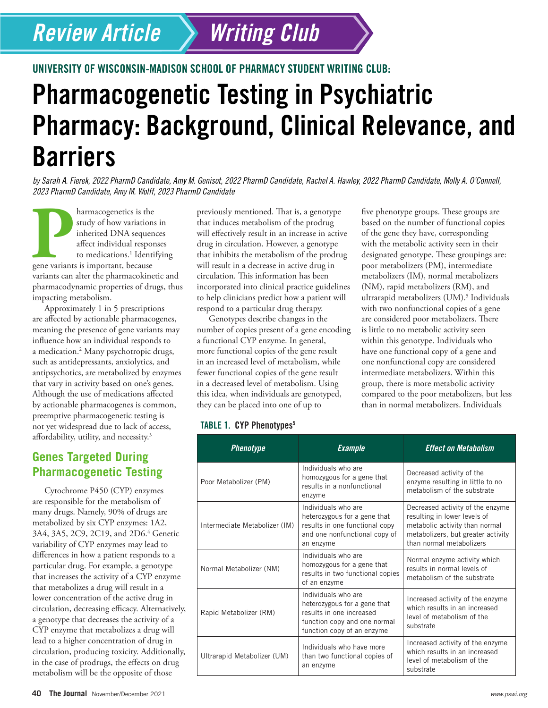# *Review Article*

## UNIVERSITY OF WISCONSIN-MADISON SCHOOL OF PHARMACY STUDENT WRITING CLUB:

# Pharmacogenetic Testing in Psychiatric Pharmacy: Background, Clinical Relevance, and **Barriers**

*Writing Club*

*by Sarah A. Fierek, 2022 PharmD Candidate, Amy M. Genisot, 2022 PharmD Candidate, Rachel A. Hawley, 2022 PharmD Candidate, Molly A. O'Connell, 2023 PharmD Candidate, Amy M. Wolff, 2023 PharmD Candidate*

**Pharmacogenetics is the study of how variations**<br>
inherited DNA sequenter affect individual respont to medications.<sup>1</sup> Identiting<br>
gene variants is important, because study of how variations in inherited DNA sequences affect individual responses to medications.<sup>1</sup> Identifying variants can alter the pharmacokinetic and pharmacodynamic properties of drugs, thus impacting metabolism.

Approximately 1 in 5 prescriptions are affected by actionable pharmacogenes, meaning the presence of gene variants may influence how an individual responds to a medication.2 Many psychotropic drugs, such as antidepressants, anxiolytics, and antipsychotics, are metabolized by enzymes that vary in activity based on one's genes. Although the use of medications affected by actionable pharmacogenes is common, preemptive pharmacogenetic testing is not yet widespread due to lack of access, affordability, utility, and necessity.3

## **Genes Targeted During Pharmacogenetic Testing**

Cytochrome P450 (CYP) enzymes are responsible for the metabolism of many drugs. Namely, 90% of drugs are metabolized by six CYP enzymes: 1A2, 3A4, 3A5, 2C9, 2C19, and 2D6.4 Genetic variability of CYP enzymes may lead to differences in how a patient responds to a particular drug. For example, a genotype that increases the activity of a CYP enzyme that metabolizes a drug will result in a lower concentration of the active drug in circulation, decreasing efficacy. Alternatively, a genotype that decreases the activity of a CYP enzyme that metabolizes a drug will lead to a higher concentration of drug in circulation, producing toxicity. Additionally, in the case of prodrugs, the effects on drug metabolism will be the opposite of those

previously mentioned. That is, a genotype that induces metabolism of the prodrug will effectively result in an increase in active drug in circulation. However, a genotype that inhibits the metabolism of the prodrug will result in a decrease in active drug in circulation. This information has been incorporated into clinical practice guidelines to help clinicians predict how a patient will respond to a particular drug therapy.

Genotypes describe changes in the number of copies present of a gene encoding a functional CYP enzyme. In general, more functional copies of the gene result in an increased level of metabolism, while fewer functional copies of the gene result in a decreased level of metabolism. Using this idea, when individuals are genotyped, they can be placed into one of up to

#### TABLE 1. CYP Phenotypes<sup>5</sup>

*Phenotype Example Effect on Metabolism* Poor Metabolizer (PM) Individuals who are homozygous for a gene that results in a nonfunctional enzyme Decreased activity of the enzyme resulting in little to no metabolism of the substrate Intermediate Metabolizer (IM) Individuals who are heterozygous for a gene that results in one functional copy and one nonfunctional copy of an enzyme Decreased activity of the enzyme resulting in lower levels of metabolic activity than normal metabolizers, but greater activity than normal metabolizers Normal Metabolizer (NM) Individuals who are homozygous for a gene that results in two functional copies of an enzyme Normal enzyme activity which results in normal levels of metabolism of the substrate Rapid Metabolizer (RM) Individuals who are heterozygous for a gene that results in one increased function copy and one normal function copy of an enzyme Increased activity of the enzyme which results in an increased level of metabolism of the substrate Ultrarapid Metabolizer (UM) Individuals who have more than two functional copies of an enzyme Increased activity of the enzyme which results in an increased level of metabolism of the substrate

five phenotype groups. These groups are based on the number of functional copies of the gene they have, corresponding with the metabolic activity seen in their designated genotype. These groupings are: poor metabolizers (PM), intermediate metabolizers (IM), normal metabolizers (NM), rapid metabolizers (RM), and ultrarapid metabolizers (UM).<sup>5</sup> Individuals with two nonfunctional copies of a gene are considered poor metabolizers. There is little to no metabolic activity seen within this genotype. Individuals who have one functional copy of a gene and one nonfunctional copy are considered intermediate metabolizers. Within this group, there is more metabolic activity compared to the poor metabolizers, but less than in normal metabolizers. Individuals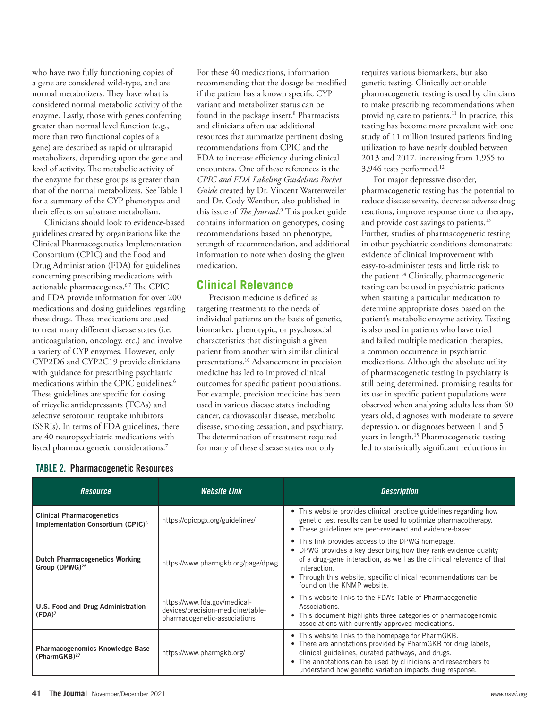who have two fully functioning copies of a gene are considered wild-type, and are normal metabolizers. They have what is considered normal metabolic activity of the enzyme. Lastly, those with genes conferring greater than normal level function (e.g., more than two functional copies of a gene) are described as rapid or ultrarapid metabolizers, depending upon the gene and level of activity. The metabolic activity of the enzyme for these groups is greater than that of the normal metabolizers. See Table 1 for a summary of the CYP phenotypes and their effects on substrate metabolism.

Clinicians should look to evidence-based guidelines created by organizations like the Clinical Pharmacogenetics Implementation Consortium (CPIC) and the Food and Drug Administration (FDA) for guidelines concerning prescribing medications with actionable pharmacogenes.6,7 The CPIC and FDA provide information for over 200 medications and dosing guidelines regarding these drugs. These medications are used to treat many different disease states (i.e. anticoagulation, oncology, etc.) and involve a variety of CYP enzymes. However, only CYP2D6 and CYP2C19 provide clinicians with guidance for prescribing psychiatric medications within the CPIC guidelines.<sup>6</sup> These guidelines are specific for dosing of tricyclic antidepressants (TCAs) and selective serotonin reuptake inhibitors (SSRIs). In terms of FDA guidelines, there are 40 neuropsychiatric medications with listed pharmacogenetic considerations.7

For these 40 medications, information recommending that the dosage be modified if the patient has a known specific CYP variant and metabolizer status can be found in the package insert.<sup>8</sup> Pharmacists and clinicians often use additional resources that summarize pertinent dosing recommendations from CPIC and the FDA to increase efficiency during clinical encounters. One of these references is the *CPIC and FDA Labeling Guidelines Pocket Guide* created by Dr. Vincent Wartenweiler and Dr. Cody Wenthur, also published in this issue of *The Journal*.<sup>9</sup> This pocket guide contains information on genotypes, dosing recommendations based on phenotype, strength of recommendation, and additional information to note when dosing the given medication.

### **Clinical Relevance**

Precision medicine is defined as targeting treatments to the needs of individual patients on the basis of genetic, biomarker, phenotypic, or psychosocial characteristics that distinguish a given patient from another with similar clinical presentations.10 Advancement in precision medicine has led to improved clinical outcomes for specific patient populations. For example, precision medicine has been used in various disease states including cancer, cardiovascular disease, metabolic disease, smoking cessation, and psychiatry. The determination of treatment required for many of these disease states not only

requires various biomarkers, but also genetic testing. Clinically actionable pharmacogenetic testing is used by clinicians to make prescribing recommendations when providing care to patients.<sup>11</sup> In practice, this testing has become more prevalent with one study of 11 million insured patients finding utilization to have nearly doubled between 2013 and 2017, increasing from 1,955 to 3,946 tests performed.12

For major depressive disorder, pharmacogenetic testing has the potential to reduce disease severity, decrease adverse drug reactions, improve response time to therapy, and provide cost savings to patients.<sup>13</sup> Further, studies of pharmacogenetic testing in other psychiatric conditions demonstrate evidence of clinical improvement with easy-to-administer tests and little risk to the patient.<sup>14</sup> Clinically, pharmacogenetic testing can be used in psychiatric patients when starting a particular medication to determine appropriate doses based on the patient's metabolic enzyme activity. Testing is also used in patients who have tried and failed multiple medication therapies, a common occurrence in psychiatric medications. Although the absolute utility of pharmacogenetic testing in psychiatry is still being determined, promising results for its use in specific patient populations were observed when analyzing adults less than 60 years old, diagnoses with moderate to severe depression, or diagnoses between 1 and 5 years in length.15 Pharmacogenetic testing led to statistically significant reductions in

| Resource                                                                          | <b>Website Link</b>                                                                               | <b>Description</b>                                                                                                                                                                                                                                                                                              |
|-----------------------------------------------------------------------------------|---------------------------------------------------------------------------------------------------|-----------------------------------------------------------------------------------------------------------------------------------------------------------------------------------------------------------------------------------------------------------------------------------------------------------------|
| <b>Clinical Pharmacogenetics</b><br>Implementation Consortium (CPIC) <sup>6</sup> | https://cpicpgx.org/guidelines/                                                                   | • This website provides clinical practice guidelines regarding how<br>genetic test results can be used to optimize pharmacotherapy.<br>• These guidelines are peer-reviewed and evidence-based.                                                                                                                 |
| <b>Dutch Pharmacogenetics Working</b><br>Group (DPWG) <sup>26</sup>               | https://www.pharmgkb.org/page/dpwg                                                                | • This link provides access to the DPWG homepage.<br>• DPWG provides a key describing how they rank evidence quality<br>of a drug-gene interaction, as well as the clinical relevance of that<br>interaction.<br>• Through this website, specific clinical recommendations can be<br>found on the KNMP website. |
| U.S. Food and Drug Administration<br>(FDA) <sup>7</sup>                           | https://www.fda.gov/medical-<br>devices/precision-medicine/table-<br>pharmacogenetic-associations | • This website links to the FDA's Table of Pharmacogenetic<br>Associations.<br>• This document highlights three categories of pharmacogenomic<br>associations with currently approved medications.                                                                                                              |
| <b>Pharmacogenomics Knowledge Base</b><br>(PharmGKB) <sup>27</sup>                | https://www.pharmgkb.org/                                                                         | • This website links to the homepage for PharmGKB.<br>• There are annotations provided by PharmGKB for drug labels,<br>clinical guidelines, curated pathways, and drugs.<br>• The annotations can be used by clinicians and researchers to<br>understand how genetic variation impacts drug response.           |

#### TABLE 2. Pharmacogenetic Resources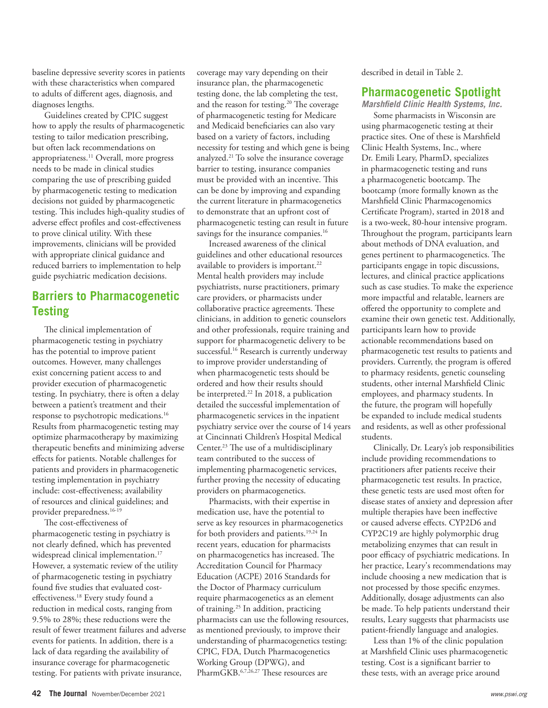baseline depressive severity scores in patients with these characteristics when compared to adults of different ages, diagnosis, and diagnoses lengths.

Guidelines created by CPIC suggest how to apply the results of pharmacogenetic testing to tailor medication prescribing, but often lack recommendations on appropriateness.11 Overall, more progress needs to be made in clinical studies comparing the use of prescribing guided by pharmacogenetic testing to medication decisions not guided by pharmacogenetic testing. This includes high-quality studies of adverse effect profiles and cost-effectiveness to prove clinical utility. With these improvements, clinicians will be provided with appropriate clinical guidance and reduced barriers to implementation to help guide psychiatric medication decisions.

## **Barriers to Pharmacogenetic Testing**

The clinical implementation of pharmacogenetic testing in psychiatry has the potential to improve patient outcomes. However, many challenges exist concerning patient access to and provider execution of pharmacogenetic testing. In psychiatry, there is often a delay between a patient's treatment and their response to psychotropic medications.16 Results from pharmacogenetic testing may optimize pharmacotherapy by maximizing therapeutic benefits and minimizing adverse effects for patients. Notable challenges for patients and providers in pharmacogenetic testing implementation in psychiatry include: cost-effectiveness; availability of resources and clinical guidelines; and provider preparedness.<sup>16-19</sup>

The cost-effectiveness of pharmacogenetic testing in psychiatry is not clearly defined, which has prevented widespread clinical implementation.<sup>17</sup> However, a systematic review of the utility of pharmacogenetic testing in psychiatry found five studies that evaluated costeffectiveness.<sup>18</sup> Every study found a reduction in medical costs, ranging from 9.5% to 28%; these reductions were the result of fewer treatment failures and adverse events for patients. In addition, there is a lack of data regarding the availability of insurance coverage for pharmacogenetic testing. For patients with private insurance,

coverage may vary depending on their insurance plan, the pharmacogenetic testing done, the lab completing the test, and the reason for testing.<sup>20</sup> The coverage of pharmacogenetic testing for Medicare and Medicaid beneficiaries can also vary based on a variety of factors, including necessity for testing and which gene is being analyzed.21 To solve the insurance coverage barrier to testing, insurance companies must be provided with an incentive. This can be done by improving and expanding the current literature in pharmacogenetics to demonstrate that an upfront cost of pharmacogenetic testing can result in future savings for the insurance companies.<sup>16</sup>

Increased awareness of the clinical guidelines and other educational resources available to providers is important.<sup>22</sup> Mental health providers may include psychiatrists, nurse practitioners, primary care providers, or pharmacists under collaborative practice agreements. These clinicians, in addition to genetic counselors and other professionals, require training and support for pharmacogenetic delivery to be successful.<sup>16</sup> Research is currently underway to improve provider understanding of when pharmacogenetic tests should be ordered and how their results should be interpreted.<sup>22</sup> In 2018, a publication detailed the successful implementation of pharmacogenetic services in the inpatient psychiatry service over the course of 14 years at Cincinnati Children's Hospital Medical Center.<sup>23</sup> The use of a multidisciplinary team contributed to the success of implementing pharmacogenetic services, further proving the necessity of educating providers on pharmacogenetics.

Pharmacists, with their expertise in medication use, have the potential to serve as key resources in pharmacogenetics for both providers and patients.<sup>19,24</sup> In recent years, education for pharmacists on pharmacogenetics has increased. The Accreditation Council for Pharmacy Education (ACPE) 2016 Standards for the Doctor of Pharmacy curriculum require pharmacogenetics as an element of training.25 In addition, practicing pharmacists can use the following resources, as mentioned previously, to improve their understanding of pharmacogenetics testing: CPIC, FDA, Dutch Pharmacogenetics Working Group (DPWG), and PharmGKB.6,7,26,27 These resources are

described in detail in Table 2.

### **Pharmacogenetic Spotlight**

*Marshfield Clinic Health Systems, Inc.* 

Some pharmacists in Wisconsin are using pharmacogenetic testing at their practice sites. One of these is Marshfield Clinic Health Systems, Inc., where Dr. Emili Leary, PharmD, specializes in pharmacogenetic testing and runs a pharmacogenetic bootcamp. The bootcamp (more formally known as the Marshfield Clinic Pharmacogenomics Certificate Program), started in 2018 and is a two-week, 80-hour intensive program. Throughout the program, participants learn about methods of DNA evaluation, and genes pertinent to pharmacogenetics. The participants engage in topic discussions, lectures, and clinical practice applications such as case studies. To make the experience more impactful and relatable, learners are offered the opportunity to complete and examine their own genetic test. Additionally, participants learn how to provide actionable recommendations based on pharmacogenetic test results to patients and providers. Currently, the program is offered to pharmacy residents, genetic counseling students, other internal Marshfield Clinic employees, and pharmacy students. In the future, the program will hopefully be expanded to include medical students and residents, as well as other professional students.

Clinically, Dr. Leary's job responsibilities include providing recommendations to practitioners after patients receive their pharmacogenetic test results. In practice, these genetic tests are used most often for disease states of anxiety and depression after multiple therapies have been ineffective or caused adverse effects. CYP2D6 and CYP2C19 are highly polymorphic drug metabolizing enzymes that can result in poor efficacy of psychiatric medications. In her practice, Leary's recommendations may include choosing a new medication that is not processed by those specific enzymes. Additionally, dosage adjustments can also be made. To help patients understand their results, Leary suggests that pharmacists use patient-friendly language and analogies.

Less than 1% of the clinic population at Marshfield Clinic uses pharmacogenetic testing. Cost is a significant barrier to these tests, with an average price around